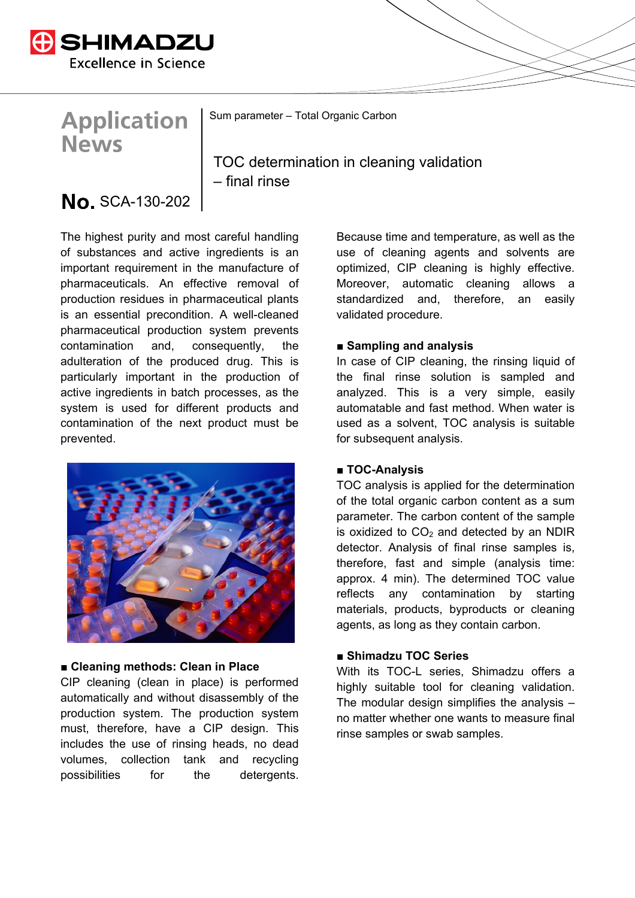

# **Application News**

Sum parameter – Total Organic Carbon

TOC determination in cleaning validation – final rinse

# No. SCA-130-202

The highest purity and most careful handling of substances and active ingredients is an important requirement in the manufacture of pharmaceuticals. An effective removal of production residues in pharmaceutical plants is an essential precondition. A well-cleaned pharmaceutical production system prevents contamination and, consequently, the adulteration of the produced drug. This is particularly important in the production of active ingredients in batch processes, as the system is used for different products and contamination of the next product must be prevented.



#### **■ Cleaning methods: Clean in Place**

CIP cleaning (clean in place) is performed automatically and without disassembly of the production system. The production system must, therefore, have a CIP design. This includes the use of rinsing heads, no dead volumes, collection tank and recycling possibilities for the detergents.

Because time and temperature, as well as the use of cleaning agents and solvents are optimized, CIP cleaning is highly effective. Moreover, automatic cleaning allows a standardized and, therefore, an easily validated procedure.

#### ■ **Sampling and analysis**

In case of CIP cleaning, the rinsing liquid of the final rinse solution is sampled and analyzed. This is a very simple, easily automatable and fast method. When water is used as a solvent, TOC analysis is suitable for subsequent analysis.

#### ■ **TOC-Analysis**

TOC analysis is applied for the determination of the total organic carbon content as a sum parameter. The carbon content of the sample is oxidized to  $CO<sub>2</sub>$  and detected by an NDIR detector. Analysis of final rinse samples is, therefore, fast and simple (analysis time: approx. 4 min). The determined TOC value reflects any contamination by starting materials, products, byproducts or cleaning agents, as long as they contain carbon.

## **■ Shimadzu TOC Series**

With its TOC-L series. Shimadzu offers a highly suitable tool for cleaning validation. The modular design simplifies the analysis  $$ no matter whether one wants to measure final rinse samples or swab samples.